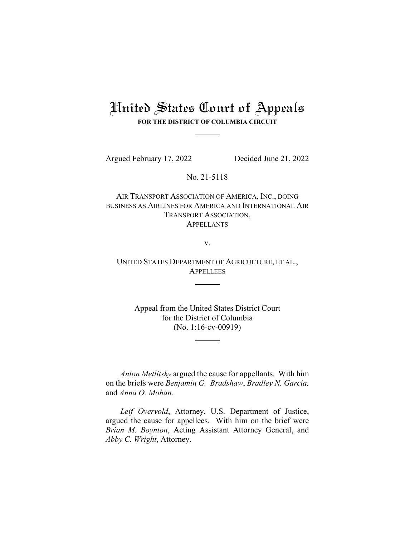# United States Court of Appeals

**FOR THE DISTRICT OF COLUMBIA CIRCUIT**

Argued February 17, 2022 Decided June 21, 2022

No. 21-5118

AIR TRANSPORT ASSOCIATION OF AMERICA, INC., DOING BUSINESS AS AIRLINES FOR AMERICA AND INTERNATIONAL AIR TRANSPORT ASSOCIATION, **APPELLANTS** 

v.

UNITED STATES DEPARTMENT OF AGRICULTURE, ET AL., **APPELLEES** 

Appeal from the United States District Court for the District of Columbia (No. 1:16-cv-00919)

*Anton Metlitsky* argued the cause for appellants. With him on the briefs were *Benjamin G. Bradshaw*, *Bradley N. Garcia,*  and *Anna O. Mohan.*

*Leif Overvold*, Attorney, U.S. Department of Justice, argued the cause for appellees. With him on the brief were *Brian M. Boynton*, Acting Assistant Attorney General, and *Abby C. Wright*, Attorney.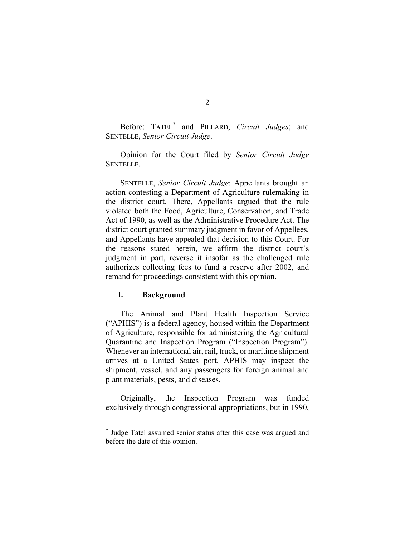Before: TATEL[\\*](#page-1-0) and PILLARD, *Circuit Judges*; and SENTELLE, *Senior Circuit Judge*.

Opinion for the Court filed by *Senior Circuit Judge* SENTELLE.

SENTELLE, *Senior Circuit Judge*: Appellants brought an action contesting a Department of Agriculture rulemaking in the district court. There, Appellants argued that the rule violated both the Food, Agriculture, Conservation, and Trade Act of 1990, as well as the Administrative Procedure Act. The district court granted summary judgment in favor of Appellees, and Appellants have appealed that decision to this Court. For the reasons stated herein, we affirm the district court's judgment in part, reverse it insofar as the challenged rule authorizes collecting fees to fund a reserve after 2002, and remand for proceedings consistent with this opinion.

## **I. Background**

The Animal and Plant Health Inspection Service ("APHIS") is a federal agency, housed within the Department of Agriculture, responsible for administering the Agricultural Quarantine and Inspection Program ("Inspection Program"). Whenever an international air, rail, truck, or maritime shipment arrives at a United States port, APHIS may inspect the shipment, vessel, and any passengers for foreign animal and plant materials, pests, and diseases.

Originally, the Inspection Program was funded exclusively through congressional appropriations, but in 1990,

<span id="page-1-0"></span><sup>\*</sup> Judge Tatel assumed senior status after this case was argued and before the date of this opinion.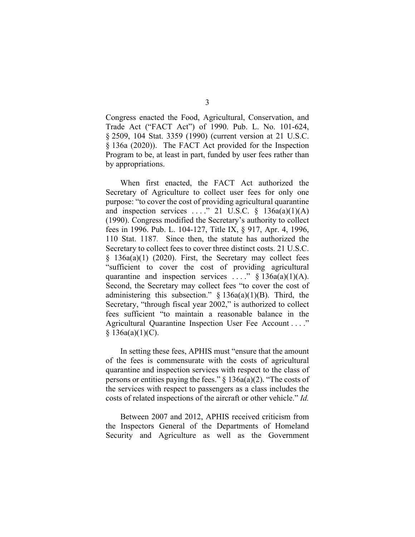Congress enacted the Food, Agricultural, Conservation, and Trade Act ("FACT Act") of 1990. Pub. L. No. 101-624, § 2509, 104 Stat. 3359 (1990) (current version at 21 U.S.C. § 136a (2020)). The FACT Act provided for the Inspection Program to be, at least in part, funded by user fees rather than by appropriations.

When first enacted, the FACT Act authorized the Secretary of Agriculture to collect user fees for only one purpose: "to cover the cost of providing agricultural quarantine and inspection services ...." 21 U.S.C.  $\S$  136a(a)(1)(A) (1990). Congress modified the Secretary's authority to collect fees in 1996. Pub. L. 104-127, Title IX, § 917, Apr. 4, 1996, 110 Stat. 1187. Since then, the statute has authorized the Secretary to collect fees to cover three distinct costs. 21 U.S.C. § 136a(a)(1) (2020). First, the Secretary may collect fees "sufficient to cover the cost of providing agricultural quarantine and inspection services ...."  $\S$  136a(a)(1)(A). Second, the Secretary may collect fees "to cover the cost of administering this subsection."  $\S$  136a(a)(1)(B). Third, the Secretary, "through fiscal year 2002," is authorized to collect fees sufficient "to maintain a reasonable balance in the Agricultural Quarantine Inspection User Fee Account . . . ."  $§ 136a(a)(1)(C).$ 

In setting these fees, APHIS must "ensure that the amount of the fees is commensurate with the costs of agricultural quarantine and inspection services with respect to the class of persons or entities paying the fees." § 136a(a)(2). "The costs of the services with respect to passengers as a class includes the costs of related inspections of the aircraft or other vehicle." *Id.*

Between 2007 and 2012, APHIS received criticism from the Inspectors General of the Departments of Homeland Security and Agriculture as well as the Government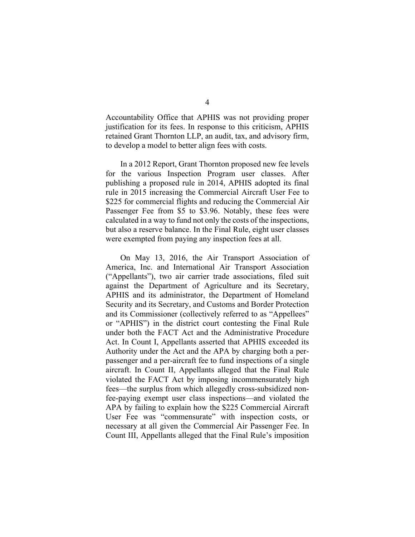Accountability Office that APHIS was not providing proper justification for its fees. In response to this criticism, APHIS retained Grant Thornton LLP, an audit, tax, and advisory firm, to develop a model to better align fees with costs.

In a 2012 Report, Grant Thornton proposed new fee levels for the various Inspection Program user classes. After publishing a proposed rule in 2014, APHIS adopted its final rule in 2015 increasing the Commercial Aircraft User Fee to \$225 for commercial flights and reducing the Commercial Air Passenger Fee from \$5 to \$3.96. Notably, these fees were calculated in a way to fund not only the costs of the inspections, but also a reserve balance. In the Final Rule, eight user classes were exempted from paying any inspection fees at all.

On May 13, 2016, the Air Transport Association of America, Inc. and International Air Transport Association ("Appellants"), two air carrier trade associations, filed suit against the Department of Agriculture and its Secretary, APHIS and its administrator, the Department of Homeland Security and its Secretary, and Customs and Border Protection and its Commissioner (collectively referred to as "Appellees" or "APHIS") in the district court contesting the Final Rule under both the FACT Act and the Administrative Procedure Act. In Count I, Appellants asserted that APHIS exceeded its Authority under the Act and the APA by charging both a perpassenger and a per-aircraft fee to fund inspections of a single aircraft. In Count II, Appellants alleged that the Final Rule violated the FACT Act by imposing incommensurately high fees—the surplus from which allegedly cross-subsidized nonfee-paying exempt user class inspections—and violated the APA by failing to explain how the \$225 Commercial Aircraft User Fee was "commensurate" with inspection costs, or necessary at all given the Commercial Air Passenger Fee. In Count III, Appellants alleged that the Final Rule's imposition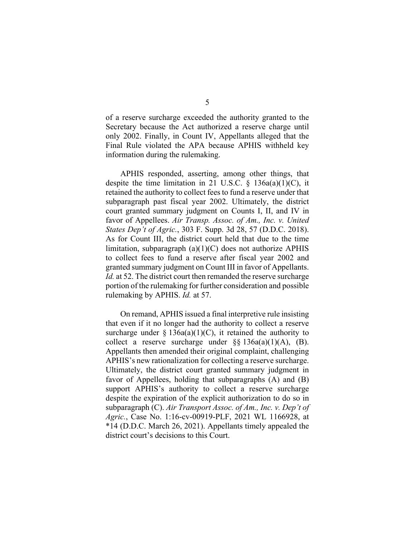of a reserve surcharge exceeded the authority granted to the Secretary because the Act authorized a reserve charge until only 2002. Finally, in Count IV, Appellants alleged that the Final Rule violated the APA because APHIS withheld key information during the rulemaking.

APHIS responded, asserting, among other things, that despite the time limitation in 21 U.S.C.  $\S$  136a(a)(1)(C), it retained the authority to collect fees to fund a reserve under that subparagraph past fiscal year 2002. Ultimately, the district court granted summary judgment on Counts I, II, and IV in favor of Appellees. *Air Transp. Assoc. of Am., Inc. v. United States Dep't of Agric.*, 303 F. Supp. 3d 28, 57 (D.D.C. 2018). As for Count III, the district court held that due to the time limitation, subparagraph (a)(1)(C) does not authorize APHIS to collect fees to fund a reserve after fiscal year 2002 and granted summary judgment on Count III in favor of Appellants. *Id.* at 52. The district court then remanded the reserve surcharge portion of the rulemaking for further consideration and possible rulemaking by APHIS. *Id.* at 57.

On remand, APHIS issued a final interpretive rule insisting that even if it no longer had the authority to collect a reserve surcharge under  $\S$  136a(a)(1)(C), it retained the authority to collect a reserve surcharge under  $\S$ § 136a(a)(1)(A), (B). Appellants then amended their original complaint, challenging APHIS's new rationalization for collecting a reserve surcharge. Ultimately, the district court granted summary judgment in favor of Appellees, holding that subparagraphs (A) and (B) support APHIS's authority to collect a reserve surcharge despite the expiration of the explicit authorization to do so in subparagraph (C). *Air Transport Assoc. of Am., Inc. v. Dep't of Agric.*, Case No. 1:16-cv-00919-PLF, 2021 WL 1166928, at \*14 (D.D.C. March 26, 2021). Appellants timely appealed the district court's decisions to this Court.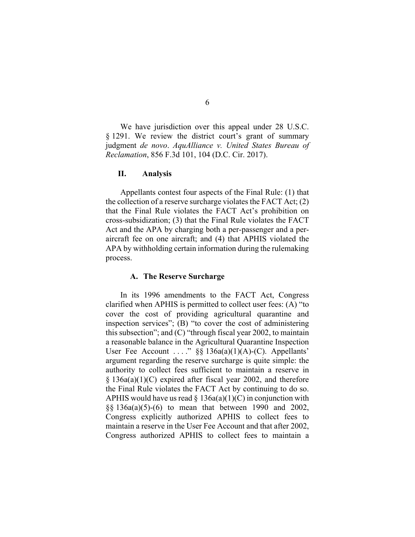We have jurisdiction over this appeal under 28 U.S.C. § 1291. We review the district court's grant of summary judgment *de novo*. *AquAlliance v. United States Bureau of Reclamation*, 856 F.3d 101, 104 (D.C. Cir. 2017).

#### **II. Analysis**

Appellants contest four aspects of the Final Rule: (1) that the collection of a reserve surcharge violates the FACT Act; (2) that the Final Rule violates the FACT Act's prohibition on cross-subsidization; (3) that the Final Rule violates the FACT Act and the APA by charging both a per-passenger and a peraircraft fee on one aircraft; and (4) that APHIS violated the APA by withholding certain information during the rulemaking process.

## **A. The Reserve Surcharge**

In its 1996 amendments to the FACT Act, Congress clarified when APHIS is permitted to collect user fees: (A) "to cover the cost of providing agricultural quarantine and inspection services"; (B) "to cover the cost of administering this subsection"; and (C) "through fiscal year 2002, to maintain a reasonable balance in the Agricultural Quarantine Inspection User Fee Account ...."  $\S$ § 136a(a)(1)(A)-(C). Appellants' argument regarding the reserve surcharge is quite simple: the authority to collect fees sufficient to maintain a reserve in § 136a(a)(1)(C) expired after fiscal year 2002, and therefore the Final Rule violates the FACT Act by continuing to do so. APHIS would have us read  $\S$  136a(a)(1)(C) in conjunction with §§ 136a(a)(5)-(6) to mean that between 1990 and 2002, Congress explicitly authorized APHIS to collect fees to maintain a reserve in the User Fee Account and that after 2002, Congress authorized APHIS to collect fees to maintain a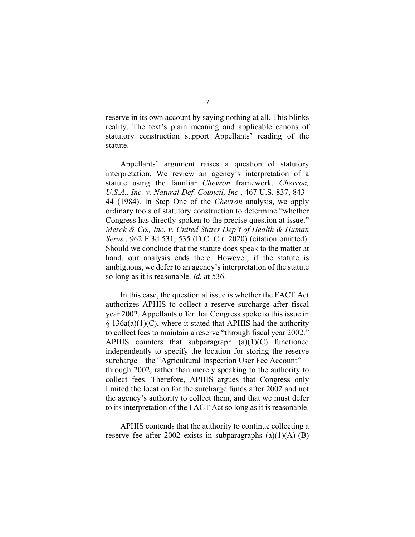reserve in its own account by saying nothing at all. This blinks reality. The text's plain meaning and applicable canons of statutory construction support Appellants' reading of the statute.

Appellants' argument raises a question of statutory interpretation. We review an agency's interpretation of a statute using the familiar *Chevron* framework. *Chevron, U.S.A., Inc. v. Natural Def. Council, Inc.*, 467 U.S. 837, 843– 44 (1984). In Step One of the *Chevron* analysis, we apply ordinary tools of statutory construction to determine "whether Congress has directly spoken to the precise question at issue." *Merck & Co., Inc. v. United States Dep't of Health & Human Servs.*, 962 F.3d 531, 535 (D.C. Cir. 2020) (citation omitted). Should we conclude that the statute does speak to the matter at hand, our analysis ends there. However, if the statute is ambiguous, we defer to an agency's interpretation of the statute so long as it is reasonable. *Id.* at 536.

In this case, the question at issue is whether the FACT Act authorizes APHIS to collect a reserve surcharge after fiscal year 2002. Appellants offer that Congress spoke to this issue in  $\S$  136a(a)(1)(C), where it stated that APHIS had the authority to collect fees to maintain a reserve "through fiscal year 2002." APHIS counters that subparagraph  $(a)(1)(C)$  functioned independently to specify the location for storing the reserve surcharge—the "Agricultural Inspection User Fee Account" through 2002, rather than merely speaking to the authority to collect fees. Therefore, APHIS argues that Congress only limited the location for the surcharge funds after 2002 and not the agency's authority to collect them, and that we must defer to its interpretation of the FACT Act so long as it is reasonable.

APHIS contends that the authority to continue collecting a reserve fee after 2002 exists in subparagraphs  $(a)(1)(A)$ - $(B)$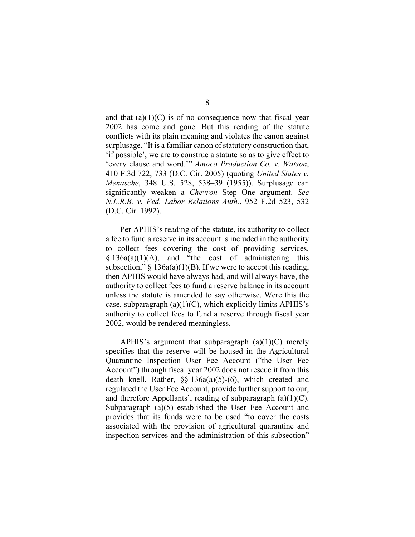and that  $(a)(1)(C)$  is of no consequence now that fiscal year 2002 has come and gone. But this reading of the statute conflicts with its plain meaning and violates the canon against surplusage. "It is a familiar canon of statutory construction that, 'if possible', we are to construe a statute so as to give effect to 'every clause and word.'" *Amoco Production Co. v. Watson*, 410 F.3d 722, 733 (D.C. Cir. 2005) (quoting *United States v. Menasche*, 348 U.S. 528, 538–39 (1955)). Surplusage can significantly weaken a *Chevron* Step One argument. *See N.L.R.B. v. Fed. Labor Relations Auth.*, 952 F.2d 523, 532 (D.C. Cir. 1992).

Per APHIS's reading of the statute, its authority to collect a fee to fund a reserve in its account is included in the authority to collect fees covering the cost of providing services,  $§ 136a(a)(1)(A)$ , and "the cost of administering this subsection,"  $\S$  136a(a)(1)(B). If we were to accept this reading, then APHIS would have always had, and will always have, the authority to collect fees to fund a reserve balance in its account unless the statute is amended to say otherwise. Were this the case, subparagraph  $(a)(1)(C)$ , which explicitly limits APHIS's authority to collect fees to fund a reserve through fiscal year 2002, would be rendered meaningless.

APHIS's argument that subparagraph  $(a)(1)(C)$  merely specifies that the reserve will be housed in the Agricultural Quarantine Inspection User Fee Account ("the User Fee Account") through fiscal year 2002 does not rescue it from this death knell. Rather, §§ 136a(a)(5)-(6), which created and regulated the User Fee Account, provide further support to our, and therefore Appellants', reading of subparagraph  $(a)(1)(C)$ . Subparagraph (a)(5) established the User Fee Account and provides that its funds were to be used "to cover the costs associated with the provision of agricultural quarantine and inspection services and the administration of this subsection"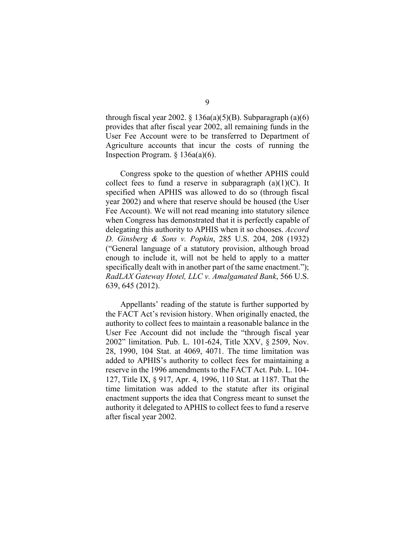through fiscal year 2002. § 136a(a)(5)(B). Subparagraph (a)(6) provides that after fiscal year 2002, all remaining funds in the User Fee Account were to be transferred to Department of Agriculture accounts that incur the costs of running the Inspection Program. § 136a(a)(6).

Congress spoke to the question of whether APHIS could collect fees to fund a reserve in subparagraph  $(a)(1)(C)$ . It specified when APHIS was allowed to do so (through fiscal year 2002) and where that reserve should be housed (the User Fee Account). We will not read meaning into statutory silence when Congress has demonstrated that it is perfectly capable of delegating this authority to APHIS when it so chooses. *Accord D. Ginsberg & Sons v. Popkin*, 285 U.S. 204, 208 (1932) ("General language of a statutory provision, although broad enough to include it, will not be held to apply to a matter specifically dealt with in another part of the same enactment."); *RadLAX Gateway Hotel, LLC v. Amalgamated Bank*, 566 U.S. 639, 645 (2012).

Appellants' reading of the statute is further supported by the FACT Act's revision history. When originally enacted, the authority to collect fees to maintain a reasonable balance in the User Fee Account did not include the "through fiscal year 2002" limitation. Pub. L. 101-624, Title XXV, § 2509, Nov. 28, 1990, 104 Stat. at 4069, 4071. The time limitation was added to APHIS's authority to collect fees for maintaining a reserve in the 1996 amendments to the FACT Act. Pub. L. 104- 127, Title IX, § 917, Apr. 4, 1996, 110 Stat. at 1187. That the time limitation was added to the statute after its original enactment supports the idea that Congress meant to sunset the authority it delegated to APHIS to collect fees to fund a reserve after fiscal year 2002.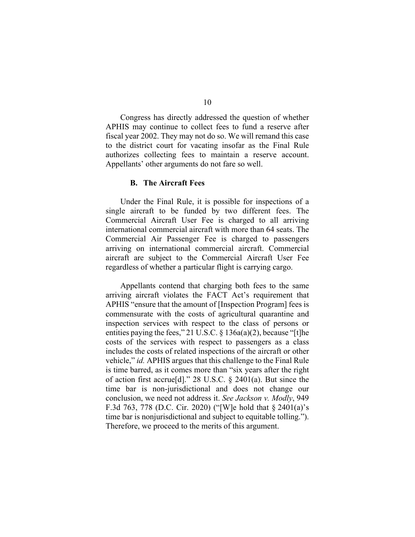Congress has directly addressed the question of whether APHIS may continue to collect fees to fund a reserve after fiscal year 2002. They may not do so. We will remand this case to the district court for vacating insofar as the Final Rule authorizes collecting fees to maintain a reserve account. Appellants' other arguments do not fare so well.

## **B. The Aircraft Fees**

Under the Final Rule, it is possible for inspections of a single aircraft to be funded by two different fees. The Commercial Aircraft User Fee is charged to all arriving international commercial aircraft with more than 64 seats. The Commercial Air Passenger Fee is charged to passengers arriving on international commercial aircraft. Commercial aircraft are subject to the Commercial Aircraft User Fee regardless of whether a particular flight is carrying cargo.

Appellants contend that charging both fees to the same arriving aircraft violates the FACT Act's requirement that APHIS "ensure that the amount of [Inspection Program] fees is commensurate with the costs of agricultural quarantine and inspection services with respect to the class of persons or entities paying the fees," 21 U.S.C. § 136a(a)(2), because "[t]he costs of the services with respect to passengers as a class includes the costs of related inspections of the aircraft or other vehicle," *id.* APHIS argues that this challenge to the Final Rule is time barred, as it comes more than "six years after the right of action first accrue[d]." 28 U.S.C. § 2401(a). But since the time bar is non-jurisdictional and does not change our conclusion, we need not address it. *See Jackson v. Modly*, 949 F.3d 763, 778 (D.C. Cir. 2020) ("[W]e hold that § 2401(a)'s time bar is nonjurisdictional and subject to equitable tolling."). Therefore, we proceed to the merits of this argument.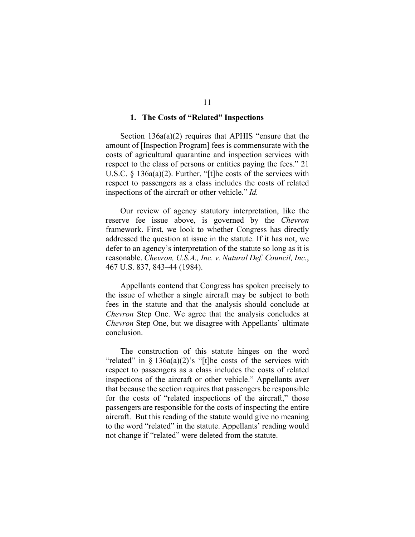### **1. The Costs of "Related" Inspections**

Section 136a(a)(2) requires that APHIS "ensure that the amount of [Inspection Program] fees is commensurate with the costs of agricultural quarantine and inspection services with respect to the class of persons or entities paying the fees." 21 U.S.C. § 136a(a)(2). Further, "[t]he costs of the services with respect to passengers as a class includes the costs of related inspections of the aircraft or other vehicle." *Id.*

Our review of agency statutory interpretation, like the reserve fee issue above, is governed by the *Chevron*  framework. First, we look to whether Congress has directly addressed the question at issue in the statute. If it has not, we defer to an agency's interpretation of the statute so long as it is reasonable. *Chevron, U.S.A., Inc. v. Natural Def. Council, Inc.*, 467 U.S. 837, 843–44 (1984).

Appellants contend that Congress has spoken precisely to the issue of whether a single aircraft may be subject to both fees in the statute and that the analysis should conclude at *Chevron* Step One. We agree that the analysis concludes at *Chevron* Step One, but we disagree with Appellants' ultimate conclusion.

The construction of this statute hinges on the word "related" in  $\S 136a(a)(2)$ 's "[t]he costs of the services with respect to passengers as a class includes the costs of related inspections of the aircraft or other vehicle." Appellants aver that because the section requires that passengers be responsible for the costs of "related inspections of the aircraft," those passengers are responsible for the costs of inspecting the entire aircraft. But this reading of the statute would give no meaning to the word "related" in the statute. Appellants' reading would not change if "related" were deleted from the statute.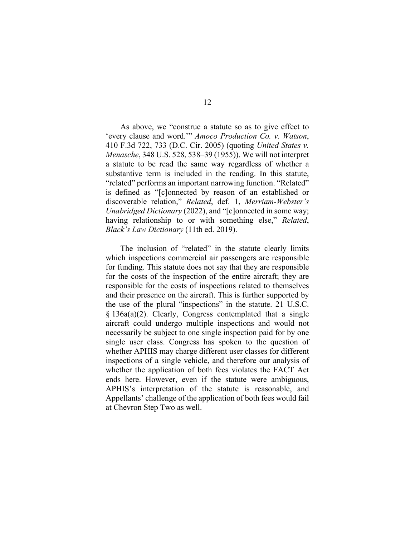As above, we "construe a statute so as to give effect to 'every clause and word.'" *Amoco Production Co. v. Watson*, 410 F.3d 722, 733 (D.C. Cir. 2005) (quoting *United States v. Menasche*, 348 U.S. 528, 538–39 (1955)). We will not interpret a statute to be read the same way regardless of whether a substantive term is included in the reading. In this statute, "related" performs an important narrowing function. "Related" is defined as "[c]onnected by reason of an established or discoverable relation," *Related*, def. 1, *Merriam-Webster's Unabridged Dictionary* (2022), and "[c]onnected in some way; having relationship to or with something else," *Related*, *Black's Law Dictionary* (11th ed. 2019).

The inclusion of "related" in the statute clearly limits which inspections commercial air passengers are responsible for funding. This statute does not say that they are responsible for the costs of the inspection of the entire aircraft; they are responsible for the costs of inspections related to themselves and their presence on the aircraft. This is further supported by the use of the plural "inspections" in the statute. 21 U.S.C. § 136a(a)(2). Clearly, Congress contemplated that a single aircraft could undergo multiple inspections and would not necessarily be subject to one single inspection paid for by one single user class. Congress has spoken to the question of whether APHIS may charge different user classes for different inspections of a single vehicle, and therefore our analysis of whether the application of both fees violates the FACT Act ends here. However, even if the statute were ambiguous, APHIS's interpretation of the statute is reasonable, and Appellants' challenge of the application of both fees would fail at Chevron Step Two as well.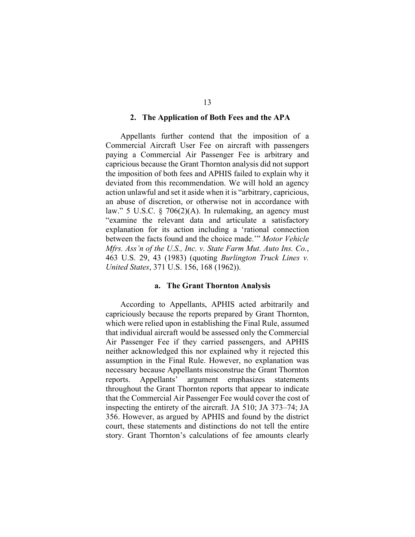### **2. The Application of Both Fees and the APA**

Appellants further contend that the imposition of a Commercial Aircraft User Fee on aircraft with passengers paying a Commercial Air Passenger Fee is arbitrary and capricious because the Grant Thornton analysis did not support the imposition of both fees and APHIS failed to explain why it deviated from this recommendation. We will hold an agency action unlawful and set it aside when it is "arbitrary, capricious, an abuse of discretion, or otherwise not in accordance with law." 5 U.S.C. § 706(2)(A). In rulemaking, an agency must "examine the relevant data and articulate a satisfactory explanation for its action including a 'rational connection between the facts found and the choice made.'" *Motor Vehicle Mfrs. Ass'n of the U.S., Inc. v. State Farm Mut. Auto Ins. Co.*, 463 U.S. 29, 43 (1983) (quoting *Burlington Truck Lines v. United States*, 371 U.S. 156, 168 (1962)).

#### **a. The Grant Thornton Analysis**

According to Appellants, APHIS acted arbitrarily and capriciously because the reports prepared by Grant Thornton, which were relied upon in establishing the Final Rule, assumed that individual aircraft would be assessed only the Commercial Air Passenger Fee if they carried passengers, and APHIS neither acknowledged this nor explained why it rejected this assumption in the Final Rule. However, no explanation was necessary because Appellants misconstrue the Grant Thornton reports. Appellants' argument emphasizes statements throughout the Grant Thornton reports that appear to indicate that the Commercial Air Passenger Fee would cover the cost of inspecting the entirety of the aircraft. JA 510; JA 373–74; JA 356. However, as argued by APHIS and found by the district court, these statements and distinctions do not tell the entire story. Grant Thornton's calculations of fee amounts clearly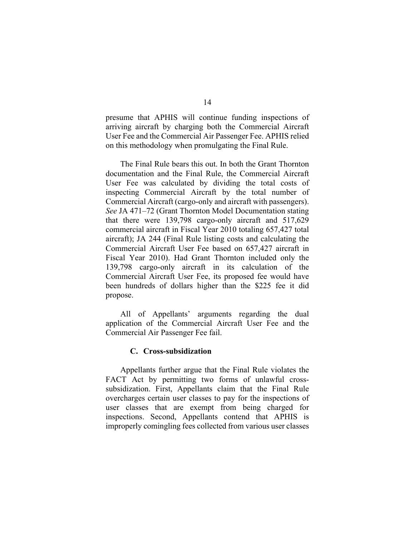presume that APHIS will continue funding inspections of arriving aircraft by charging both the Commercial Aircraft User Fee and the Commercial Air Passenger Fee. APHIS relied on this methodology when promulgating the Final Rule.

The Final Rule bears this out. In both the Grant Thornton documentation and the Final Rule, the Commercial Aircraft User Fee was calculated by dividing the total costs of inspecting Commercial Aircraft by the total number of Commercial Aircraft (cargo-only and aircraft with passengers). *See* JA 471–72 (Grant Thornton Model Documentation stating that there were 139,798 cargo-only aircraft and 517,629 commercial aircraft in Fiscal Year 2010 totaling 657,427 total aircraft); JA 244 (Final Rule listing costs and calculating the Commercial Aircraft User Fee based on 657,427 aircraft in Fiscal Year 2010). Had Grant Thornton included only the 139,798 cargo-only aircraft in its calculation of the Commercial Aircraft User Fee, its proposed fee would have been hundreds of dollars higher than the \$225 fee it did propose.

All of Appellants' arguments regarding the dual application of the Commercial Aircraft User Fee and the Commercial Air Passenger Fee fail.

## **C. Cross-subsidization**

Appellants further argue that the Final Rule violates the FACT Act by permitting two forms of unlawful crosssubsidization. First, Appellants claim that the Final Rule overcharges certain user classes to pay for the inspections of user classes that are exempt from being charged for inspections. Second, Appellants contend that APHIS is improperly comingling fees collected from various user classes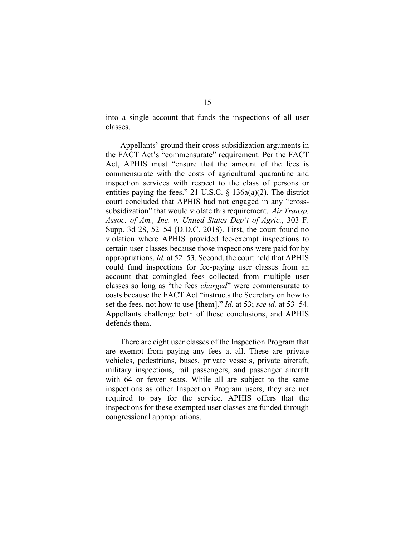into a single account that funds the inspections of all user classes.

Appellants' ground their cross-subsidization arguments in the FACT Act's "commensurate" requirement. Per the FACT Act, APHIS must "ensure that the amount of the fees is commensurate with the costs of agricultural quarantine and inspection services with respect to the class of persons or entities paying the fees." 21 U.S.C. § 136a(a)(2). The district court concluded that APHIS had not engaged in any "crosssubsidization" that would violate this requirement. *Air Transp. Assoc. of Am., Inc. v. United States Dep't of Agric.*, 303 F. Supp. 3d 28, 52–54 (D.D.C. 2018). First, the court found no violation where APHIS provided fee-exempt inspections to certain user classes because those inspections were paid for by appropriations. *Id.* at 52–53. Second, the court held that APHIS could fund inspections for fee-paying user classes from an account that comingled fees collected from multiple user classes so long as "the fees *charged*" were commensurate to costs because the FACT Act "instructs the Secretary on how to set the fees, not how to use [them]." *Id.* at 53; *see id.* at 53–54. Appellants challenge both of those conclusions, and APHIS defends them.

There are eight user classes of the Inspection Program that are exempt from paying any fees at all. These are private vehicles, pedestrians, buses, private vessels, private aircraft, military inspections, rail passengers, and passenger aircraft with 64 or fewer seats. While all are subject to the same inspections as other Inspection Program users, they are not required to pay for the service. APHIS offers that the inspections for these exempted user classes are funded through congressional appropriations.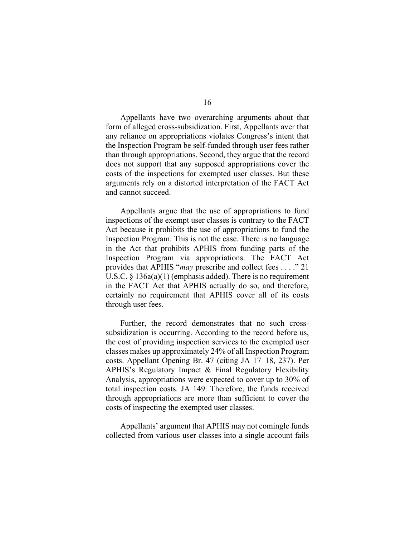Appellants have two overarching arguments about that form of alleged cross-subsidization. First, Appellants aver that any reliance on appropriations violates Congress's intent that the Inspection Program be self-funded through user fees rather than through appropriations. Second, they argue that the record does not support that any supposed appropriations cover the costs of the inspections for exempted user classes. But these arguments rely on a distorted interpretation of the FACT Act and cannot succeed.

Appellants argue that the use of appropriations to fund inspections of the exempt user classes is contrary to the FACT Act because it prohibits the use of appropriations to fund the Inspection Program. This is not the case. There is no language in the Act that prohibits APHIS from funding parts of the Inspection Program via appropriations. The FACT Act provides that APHIS "*may* prescribe and collect fees . . . ." 21 U.S.C. § 136a(a)(1) (emphasis added). There is no requirement in the FACT Act that APHIS actually do so, and therefore, certainly no requirement that APHIS cover all of its costs through user fees.

Further, the record demonstrates that no such crosssubsidization is occurring. According to the record before us, the cost of providing inspection services to the exempted user classes makes up approximately 24% of all Inspection Program costs. Appellant Opening Br. 47 (citing JA 17–18, 237). Per APHIS's Regulatory Impact & Final Regulatory Flexibility Analysis, appropriations were expected to cover up to 30% of total inspection costs. JA 149. Therefore, the funds received through appropriations are more than sufficient to cover the costs of inspecting the exempted user classes.

Appellants' argument that APHIS may not comingle funds collected from various user classes into a single account fails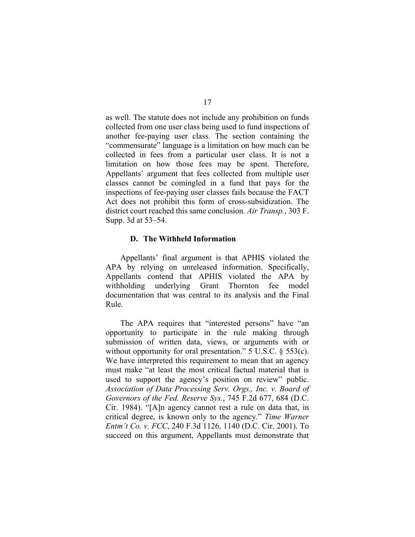as well. The statute does not include any prohibition on funds collected from one user class being used to fund inspections of another fee-paying user class. The section containing the "commensurate" language is a limitation on how much can be collected in fees from a particular user class. It is not a limitation on how those fees may be spent. Therefore, Appellants' argument that fees collected from multiple user classes cannot be comingled in a fund that pays for the inspections of fee-paying user classes fails because the FACT Act does not prohibit this form of cross-subsidization. The district court reached this same conclusion. *Air Transp.*, 303 F. Supp. 3d at 53–54.

### **D. The Withheld Information**

Appellants' final argument is that APHIS violated the APA by relying on unreleased information. Specifically, Appellants contend that APHIS violated the APA by withholding underlying Grant Thornton fee model documentation that was central to its analysis and the Final Rule.

The APA requires that "interested persons" have "an opportunity to participate in the rule making through submission of written data, views, or arguments with or without opportunity for oral presentation." 5 U.S.C. § 553(c). We have interpreted this requirement to mean that an agency must make "at least the most critical factual material that is used to support the agency's position on review" public. *Association of Data Processing Serv. Orgs., Inc. v. Board of Governors of the Fed. Reserve Sys.*, 745 F.2d 677, 684 (D.C. Cir. 1984). "[A]n agency cannot rest a rule on data that, in critical degree, is known only to the agency." *Time Warner Entm't Co. v. FCC*, 240 F.3d 1126, 1140 (D.C. Cir. 2001). To succeed on this argument, Appellants must demonstrate that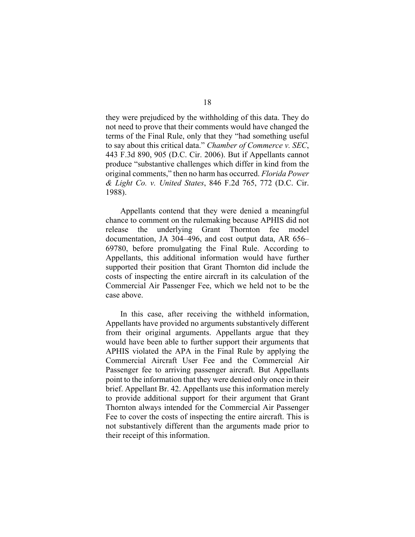they were prejudiced by the withholding of this data. They do not need to prove that their comments would have changed the terms of the Final Rule, only that they "had something useful to say about this critical data." *Chamber of Commerce v. SEC*, 443 F.3d 890, 905 (D.C. Cir. 2006). But if Appellants cannot produce "substantive challenges which differ in kind from the original comments," then no harm has occurred. *Florida Power & Light Co. v. United States*, 846 F.2d 765, 772 (D.C. Cir. 1988).

Appellants contend that they were denied a meaningful chance to comment on the rulemaking because APHIS did not release the underlying Grant Thornton fee model documentation, JA 304–496, and cost output data, AR 656– 69780, before promulgating the Final Rule. According to Appellants, this additional information would have further supported their position that Grant Thornton did include the costs of inspecting the entire aircraft in its calculation of the Commercial Air Passenger Fee, which we held not to be the case above.

In this case, after receiving the withheld information, Appellants have provided no arguments substantively different from their original arguments. Appellants argue that they would have been able to further support their arguments that APHIS violated the APA in the Final Rule by applying the Commercial Aircraft User Fee and the Commercial Air Passenger fee to arriving passenger aircraft. But Appellants point to the information that they were denied only once in their brief. Appellant Br. 42. Appellants use this information merely to provide additional support for their argument that Grant Thornton always intended for the Commercial Air Passenger Fee to cover the costs of inspecting the entire aircraft. This is not substantively different than the arguments made prior to their receipt of this information.